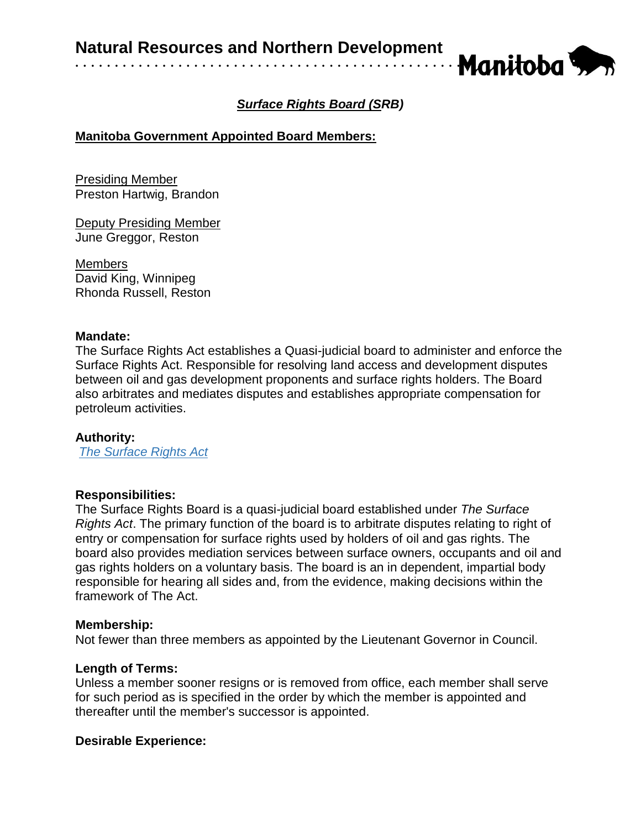

# *Surface Rights Board (SRB)*

## **Manitoba Government Appointed Board Members:**

Presiding Member Preston Hartwig, Brandon

Deputy Presiding Member June Greggor, Reston

Members David King, Winnipeg Rhonda Russell, Reston

#### **Mandate:**

The Surface Rights Act establishes a Quasi-judicial board to administer and enforce the Surface Rights Act. Responsible for resolving land access and development disputes between oil and gas development proponents and surface rights holders. The Board also arbitrates and mediates disputes and establishes appropriate compensation for petroleum activities.

## **Authority:**

*[The Surface Rights Act](https://web2.gov.mb.ca/laws/statutes/ccsm/_pdf.php?cap=s235)*

## **Responsibilities:**

The Surface Rights Board is a quasi-judicial board established under *[The Surface](https://web2.gov.mb.ca/laws/statutes/ccsm/s235e.php)  [Rights Act](https://web2.gov.mb.ca/laws/statutes/ccsm/s235e.php)*. The primary function of the board is to arbitrate disputes relating to right of entry or compensation for surface rights used by holders of [oil and gas rights.](https://www.gov.mb.ca/iem/petroleum/index.html) The board also provides mediation services between surface owners, occupants and [oil and](https://web2.gov.mb.ca/laws/statutes/ccsm/s235e.php)  [gas rights](https://web2.gov.mb.ca/laws/statutes/ccsm/s235e.php) holders on a voluntary basis. The board is an in dependent, impartial body responsible for hearing all sides and, from the evidence, making decisions within the framework of The Act.

#### **Membership:**

Not fewer than three members as appointed by the Lieutenant Governor in Council.

## **Length of Terms:**

Unless a member sooner resigns or is removed from office, each member shall serve for such period as is specified in the order by which the member is appointed and thereafter until the member's successor is appointed.

## **Desirable Experience:**